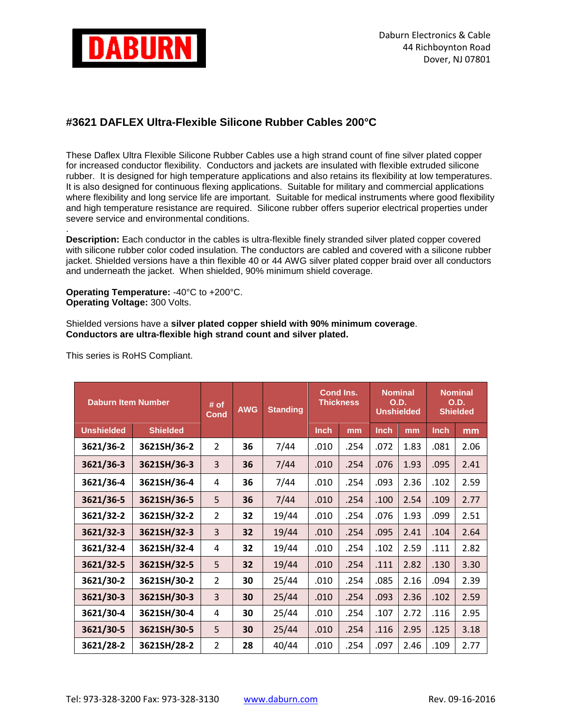

## **#3621 DAFLEX Ultra-Flexible Silicone Rubber Cables 200°C**

These Daflex Ultra Flexible Silicone Rubber Cables use a high strand count of fine silver plated copper for increased conductor flexibility. Conductors and jackets are insulated with flexible extruded silicone rubber. It is designed for high temperature applications and also retains its flexibility at low temperatures. It is also designed for continuous flexing applications. Suitable for military and commercial applications where flexibility and long service life are important. Suitable for medical instruments where good flexibility and high temperature resistance are required. Silicone rubber offers superior electrical properties under severe service and environmental conditions.

. **Description:** Each conductor in the cables is ultra-flexible finely stranded silver plated copper covered with silicone rubber color coded insulation. The conductors are cabled and covered with a silicone rubber jacket. Shielded versions have a thin flexible 40 or 44 AWG silver plated copper braid over all conductors and underneath the jacket. When shielded, 90% minimum shield coverage.

**Operating Temperature:** -40°C to +200°C. **Operating Voltage:** 300 Volts.

Shielded versions have a **silver plated copper shield with 90% minimum coverage**. **Conductors are ultra-flexible high strand count and silver plated.**

| <b>Daburn Item Number</b> |                 | # of<br><b>Cond</b> | <b>AWG</b> | <b>Standing</b> | Cond Ins.<br><b>Thickness</b> |      | <b>Nominal</b><br><b>O.D.</b><br><b>Unshielded</b> |      | <b>Nominal</b><br><b>O.D.</b><br><b>Shielded</b> |      |
|---------------------------|-----------------|---------------------|------------|-----------------|-------------------------------|------|----------------------------------------------------|------|--------------------------------------------------|------|
| <b>Unshielded</b>         | <b>Shielded</b> |                     |            |                 | <b>Inch</b>                   | mm   | <b>Inch</b>                                        | mm   | <b>Inch</b>                                      | mm   |
| 3621/36-2                 | 3621SH/36-2     | $\overline{2}$      | 36         | 7/44            | .010                          | .254 | .072                                               | 1.83 | .081                                             | 2.06 |
| 3621/36-3                 | 3621SH/36-3     | 3                   | 36         | 7/44            | .010                          | .254 | .076                                               | 1.93 | .095                                             | 2.41 |
| 3621/36-4                 | 3621SH/36-4     | 4                   | 36         | 7/44            | .010                          | .254 | .093                                               | 2.36 | .102                                             | 2.59 |
| 3621/36-5                 | 3621SH/36-5     | 5                   | 36         | 7/44            | .010                          | .254 | .100                                               | 2.54 | .109                                             | 2.77 |
| 3621/32-2                 | 3621SH/32-2     | $\overline{2}$      | 32         | 19/44           | .010                          | .254 | .076                                               | 1.93 | .099                                             | 2.51 |
| 3621/32-3                 | 3621SH/32-3     | 3                   | 32         | 19/44           | .010                          | .254 | .095                                               | 2.41 | .104                                             | 2.64 |
| 3621/32-4                 | 3621SH/32-4     | 4                   | 32         | 19/44           | .010                          | .254 | .102                                               | 2.59 | .111                                             | 2.82 |
| 3621/32-5                 | 3621SH/32-5     | 5                   | 32         | 19/44           | .010                          | .254 | .111                                               | 2.82 | .130                                             | 3.30 |
| 3621/30-2                 | 3621SH/30-2     | $\overline{2}$      | 30         | 25/44           | .010                          | .254 | .085                                               | 2.16 | .094                                             | 2.39 |
| 3621/30-3                 | 3621SH/30-3     | $\overline{3}$      | 30         | 25/44           | .010                          | .254 | .093                                               | 2.36 | .102                                             | 2.59 |
| 3621/30-4                 | 3621SH/30-4     | 4                   | 30         | 25/44           | .010                          | .254 | .107                                               | 2.72 | .116                                             | 2.95 |
| 3621/30-5                 | 3621SH/30-5     | 5                   | 30         | 25/44           | .010                          | .254 | .116                                               | 2.95 | .125                                             | 3.18 |
| 3621/28-2                 | 3621SH/28-2     | $\overline{2}$      | 28         | 40/44           | .010                          | .254 | .097                                               | 2.46 | .109                                             | 2.77 |

This series is RoHS Compliant.